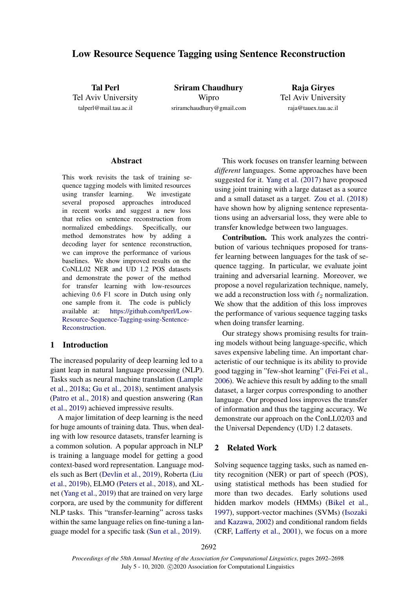# Low Resource Sequence Tagging using Sentence Reconstruction

Tal Perl Tel Aviv University talperl@mail.tau.ac.il

Sriram Chaudhury Wipro sriramchaudhury@gmail.com

Raja Giryes Tel Aviv University raja@tauex.tau.ac.il

#### Abstract

This work revisits the task of training sequence tagging models with limited resources using transfer learning. We investigate several proposed approaches introduced in recent works and suggest a new loss that relies on sentence reconstruction from normalized embeddings. Specifically, our method demonstrates how by adding a decoding layer for sentence reconstruction, we can improve the performance of various baselines. We show improved results on the CoNLL02 NER and UD 1.2 POS datasets and demonstrate the power of the method for transfer learning with low-resources achieving 0.6 F1 score in Dutch using only one sample from it. The code is publicly available at: [https://github.com/tperl/Low-](https://github.com/tperl/Low-Resource-Sequence-Tagging-using-Sentence-Reconstruction)[Resource-Sequence-Tagging-using-Sentence-](https://github.com/tperl/Low-Resource-Sequence-Tagging-using-Sentence-Reconstruction)[Reconstruction.](https://github.com/tperl/Low-Resource-Sequence-Tagging-using-Sentence-Reconstruction)

# 1 Introduction

The increased popularity of deep learning led to a giant leap in natural language processing (NLP). Tasks such as neural machine translation [\(Lample](#page-5-0) [et al.,](#page-5-0) [2018a;](#page-5-0) [Gu et al.,](#page-5-1) [2018\)](#page-5-1), sentiment analysis [\(Patro et al.,](#page-6-0) [2018\)](#page-6-0) and question answering [\(Ran](#page-6-1) [et al.,](#page-6-1) [2019\)](#page-6-1) achieved impressive results.

A major limitation of deep learning is the need for huge amounts of training data. Thus, when dealing with low resource datasets, transfer learning is a common solution. A popular approach in NLP is training a language model for getting a good context-based word representation. Language models such as Bert [\(Devlin et al.,](#page-5-2) [2019\)](#page-5-2), Roberta [\(Liu](#page-5-3) [et al.,](#page-5-3) [2019b\)](#page-5-3), ELMO [\(Peters et al.,](#page-6-2) [2018\)](#page-6-2), and XLnet [\(Yang et al.,](#page-6-3) [2019\)](#page-6-3) that are trained on very large corpora, are used by the community for different NLP tasks. This "transfer-learning" across tasks within the same language relies on fine-tuning a language model for a specific task [\(Sun et al.,](#page-6-4) [2019\)](#page-6-4).

This work focuses on transfer learning between *different* languages. Some approaches have been suggested for it. [Yang et al.](#page-6-5) [\(2017\)](#page-6-5) have proposed using joint training with a large dataset as a source and a small dataset as a target. [Zou et al.](#page-6-6) [\(2018\)](#page-6-6) have shown how by aligning sentence representations using an adversarial loss, they were able to transfer knowledge between two languages.

Contribution. This work analyzes the contribution of various techniques proposed for transfer learning between languages for the task of sequence tagging. In particular, we evaluate joint training and adversarial learning. Moreover, we propose a novel regularization technique, namely, we add a reconstruction loss with  $\ell_2$  normalization. We show that the addition of this loss improves the performance of various sequence tagging tasks when doing transfer learning.

Our strategy shows promising results for training models without being language-specific, which saves expensive labeling time. An important characteristic of our technique is its ability to provide good tagging in "few-shot learning" [\(Fei-Fei et al.,](#page-5-4) [2006\)](#page-5-4). We achieve this result by adding to the small dataset, a larger corpus corresponding to another language. Our proposed loss improves the transfer of information and thus the tagging accuracy. We demonstrate our approach on the ConLL02/03 and the Universal Dependency (UD) 1.2 datasets.

# 2 Related Work

Solving sequence tagging tasks, such as named entity recognition (NER) or part of speech (POS), using statistical methods has been studied for more than two decades. Early solutions used hidden markov models (HMMs) [\(Bikel et al.,](#page-4-0) [1997\)](#page-4-0), support-vector machines (SVMs) [\(Isozaki](#page-5-5) [and Kazawa,](#page-5-5) [2002\)](#page-5-5) and conditional random fields (CRF, [Lafferty et al.,](#page-5-6) [2001\)](#page-5-6), we focus on a more

2692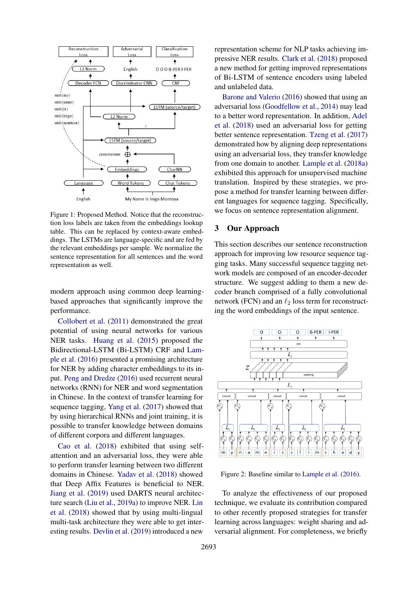<span id="page-1-0"></span>

Figure 1: Proposed Method. Notice that the reconstruction loss labels are taken from the embeddings lookup table. This can be replaced by context-aware embeddings. The LSTMs are language-specific and are fed by the relevant embeddings per sample. We normalize the sentence representation for all sentences and the word representation as well.

modern approach using common deep learningbased approaches that significantly improve the performance.

[Collobert et al.](#page-5-7) [\(2011\)](#page-5-7) demonstrated the great potential of using neural networks for various NER tasks. [Huang et al.](#page-5-8) [\(2015\)](#page-5-8) proposed the Bidirectional-LSTM (Bi-LSTM) CRF and [Lam](#page-5-9)[ple et al.](#page-5-9) [\(2016\)](#page-5-9) presented a promising architecture for NER by adding character embeddings to its input. [Peng and Dredze](#page-6-7) [\(2016\)](#page-6-7) used recurrent neural networks (RNN) for NER and word segmentation in Chinese. In the context of transfer learning for sequence tagging, [Yang et al.](#page-6-5) [\(2017\)](#page-6-5) showed that by using hierarchical RNNs and joint training, it is possible to transfer knowledge between domains of different corpora and different languages.

[Cao et al.](#page-4-1) [\(2018\)](#page-4-1) exhibited that using selfattention and an adversarial loss, they were able to perform transfer learning between two different domains in Chinese. [Yadav et al.](#page-6-8) [\(2018\)](#page-6-8) showed that Deep Affix Features is beneficial to NER. [Jiang et al.](#page-5-10) [\(2019\)](#page-5-10) used DARTS neural architecture search [\(Liu et al.,](#page-5-11) [2019a\)](#page-5-11) to improve NER. [Lin](#page-5-12) [et al.](#page-5-12) [\(2018\)](#page-5-12) showed that by using multi-lingual multi-task architecture they were able to get interesting results. [Devlin et al.](#page-5-2) [\(2019\)](#page-5-2) introduced a new

representation scheme for NLP tasks achieving impressive NER results. [Clark et al.](#page-5-13) [\(2018\)](#page-5-13) proposed a new method for getting improved representations of Bi-LSTM of sentence encoders using labeled and unlabeled data.

[Barone and Valerio](#page-4-2) [\(2016\)](#page-4-2) showed that using an adversarial loss [\(Goodfellow et al.,](#page-5-14) [2014\)](#page-5-14) may lead to a better word representation. In addition, [Adel](#page-4-3) [et al.](#page-4-3) [\(2018\)](#page-4-3) used an adversarial loss for getting better sentence representation. [Tzeng et al.](#page-6-9) [\(2017\)](#page-6-9) demonstrated how by aligning deep representations using an adversarial loss, they transfer knowledge from one domain to another. [Lample et al.](#page-5-0) [\(2018a\)](#page-5-0) exhibited this approach for unsupervised machine translation. Inspired by these strategies, we propose a method for transfer learning between different languages for sequence tagging. Specifically, we focus on sentence representation alignment.

# 3 Our Approach

This section describes our sentence reconstruction approach for improving low resource sequence tagging tasks. Many successful sequence tagging network models are composed of an encoder-decoder structure. We suggest adding to them a new decoder branch comprised of a fully convolutional network (FCN) and an  $\ell_2$  loss term for reconstructing the word embeddings of the input sentence.



Figure 2: Baseline similar to [Lample et al.](#page-5-9) [\(2016\)](#page-5-9).

To analyze the effectiveness of our proposed technique, we evaluate its contribution compared to other recently proposed strategies for transfer learning across languages: weight sharing and adversarial alignment. For completeness, we briefly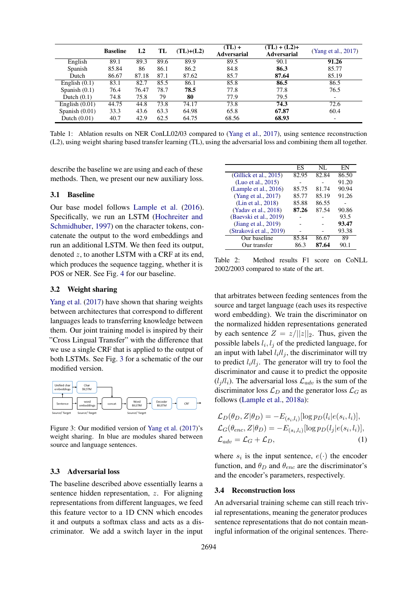<span id="page-2-1"></span>

|                  | <b>Baseline</b> | L <sub>2</sub> | TL   | $(TL)+(L2)$ | $(TL) +$<br><b>Adversarial</b> | $(TL) + (L2) +$<br><b>Adversarial</b> | (Yang et al., 2017)      |
|------------------|-----------------|----------------|------|-------------|--------------------------------|---------------------------------------|--------------------------|
| English          | 89.1            | 89.3           | 89.6 | 89.9        | 89.5                           | 90.1                                  | 91.26                    |
| Spanish          | 85.84           | 86             | 86.1 | 86.2        | 84.8                           | 86.3                                  | 85.77                    |
| Dutch            | 86.67           | 87.18          | 87.1 | 87.62       | 85.7                           | 87.64                                 | 85.19                    |
| English $(0.1)$  | 83.1            | 82.7           | 85.5 | 86.1        | 85.8                           | 86.5                                  | 86.5                     |
| Spanish $(0.1)$  | 76.4            | 76.47          | 78.7 | 78.5        | 77.8                           | 77.8                                  | 76.5                     |
| Dutch $(0.1)$    | 74.8            | 75.8           | 79   | 80          | 77.9                           | 79.5                                  | $\overline{\phantom{0}}$ |
| English $(0.01)$ | 44.75           | 44.8           | 73.8 | 74.17       | 73.8                           | 74.3                                  | 72.6                     |
| Spanish $(0.01)$ | 33.3            | 43.6           | 63.3 | 64.98       | 65.8                           | 67.87                                 | 60.4                     |
| Dutch $(0.01)$   | 40.7            | 42.9           | 62.5 | 64.75       | 68.56                          | 68.93                                 |                          |

Table 1: Ablation results on NER ConLL02/03 compared to [\(Yang et al.,](#page-6-5) [2017\)](#page-6-5), using sentence reconstruction (L2), using weight sharing based transfer learning (TL), using the adversarial loss and combining them all together.

describe the baseline we are using and each of these methods. Then, we present our new auxiliary loss.

## 3.1 Baseline

Our base model follows [Lample et al.](#page-5-9) [\(2016\)](#page-5-9). Specifically, we run an LSTM [\(Hochreiter and](#page-5-15) [Schmidhuber,](#page-5-15) [1997\)](#page-5-15) on the character tokens, concatenate the output to the word embeddings and run an additional LSTM. We then feed its output, denoted z, to another LSTM with a CRF at its end, which produces the sequence tagging, whether it is POS or NER. See Fig. [4](#page-3-0) for our baseline.

#### 3.2 Weight sharing

[Yang et al.](#page-6-5) [\(2017\)](#page-6-5) have shown that sharing weights between architectures that correspond to different languages leads to transferring knowledge between them. Our joint training model is inspired by their "Cross Lingual Transfer" with the difference that we use a single CRF that is applied to the output of both LSTMs. See Fig. [3](#page-2-0) for a schematic of the our modified version.

<span id="page-2-0"></span>

Figure 3: Our modified version of [Yang et al.](#page-6-5) [\(2017\)](#page-6-5)'s weight sharing. In blue are modules shared between source and language sentences.

#### 3.3 Adversarial loss

The baseline described above essentially learns a sentence hidden representation, z. For aligning representations from different languages, we feed this feature vector to a 1D CNN which encodes it and outputs a softmax class and acts as a discriminator. We add a switch layer in the input

<span id="page-2-2"></span>

|                         | ES    | NL.   | EN    |
|-------------------------|-------|-------|-------|
| (Gillick et al., 2015)  | 82.95 | 82.84 | 86.50 |
| (Luo et al., 2015)      |       |       | 91.20 |
| (Lample et al., 2016)   | 85.75 | 81.74 | 90.94 |
| (Yang et al., 2017)     | 85.77 | 85.19 | 91.26 |
| (Lin et al., 2018)      | 85.88 | 86.55 |       |
| (Yadav et al., 2018)    | 87.26 | 87.54 | 90.86 |
| (Baevski et al., 2019)  |       |       | 93.5  |
| (Jiang et al., $2019$ ) |       |       | 93.47 |
| (Straková et al., 2019) |       |       | 93.38 |
| Our baseline            | 85.84 | 86.67 | 89    |
| Our transfer            | 86.3  | 87.64 | 90.1  |

Table 2: Method results F1 score on CoNLL 2002/2003 compared to state of the art.

that arbitrates between feeding sentences from the source and target language (each uses its respective word embedding). We train the discriminator on the normalized hidden representations generated by each sentence  $Z = z/||z||_2$ . Thus, given the possible labels  $l_i, l_j$  of the predicted language, for an input with label  $l_i/l_j$ , the discriminator will try to predict  $l_i/l_j$ . The generator will try to fool the discriminator and cause it to predict the opposite  $(l_j / l_i)$ . The adversarial loss  $\mathcal{L}_{adv}$  is the sum of the discriminator loss  $\mathcal{L}_D$  and the generator loss  $\mathcal{L}_G$  as follows [\(Lample et al.,](#page-5-0) [2018a\)](#page-5-0):

$$
\mathcal{L}_D(\theta_D, Z | \theta_D) = -E_{(s_i, l_i)}[\log p_D(l_i | e(s_i, l_i)],
$$
  
\n
$$
\mathcal{L}_G(\theta_{enc}, Z | \theta_D) = -E_{(s_i, l_i)}[\log p_D(l_j | e(s_i, l_i)],
$$
  
\n
$$
\mathcal{L}_{adv} = \mathcal{L}_G + \mathcal{L}_D,
$$
\n(1)

where  $s_i$  is the input sentence,  $e(\cdot)$  the encoder function, and  $\theta_D$  and  $\theta_{enc}$  are the discriminator's and the encoder's parameters, respectively.

#### 3.4 Reconstruction loss

An adversarial training scheme can still reach trivial representations, meaning the generator produces sentence representations that do not contain meaningful information of the original sentences. There-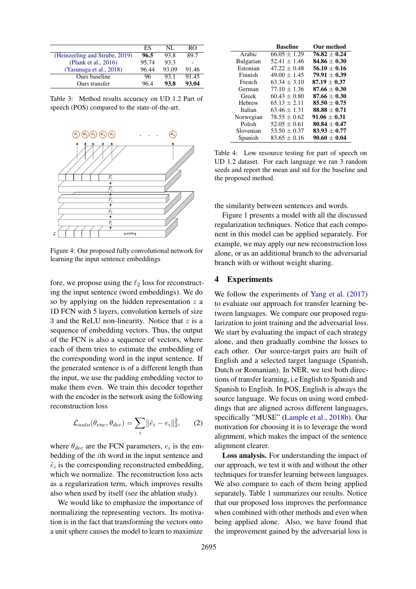<span id="page-3-2"></span>

|                                | ES    | NL.   | RΟ    |
|--------------------------------|-------|-------|-------|
| (Heinzerling and Strube, 2019) | 96.5  | 93.8  | 89.7  |
| (Plank et al., 2016)           | 95.74 | 93.3  |       |
| (Yasunaga et al., 2018)        | 96.44 | 93.09 | 91.46 |
| Ours baseline                  | 96    | 93.1  | 91.45 |
| Ours transfer                  | 96.4  | 93.8  | 93.04 |

Table 3: Method results accuracy on UD 1.2 Part of speech (POS) compared to the state-of-the-art.

<span id="page-3-0"></span>

Figure 4: Our proposed fully convolutional network for learning the input sentence embeddings

fore, we propose using the  $\ell_2$  loss for reconstructing the input sentence (word embeddings). We do so by applying on the hidden representation  $z$  a 1D FCN with 5 layers, convolution kernels of size 3 and the ReLU non-linearity. Notice that  $z$  is a sequence of embedding vectors. Thus, the output of the FCN is also a sequence of vectors, where each of them tries to estimate the embedding of the corresponding word in the input sentence. If the generated sentence is of a different length than the input, we use the padding embedding vector to make them even. We train this decoder together with the encoder in the network using the following reconstruction loss

$$
\mathcal{L}_{auto}(\theta_{enc}, \theta_{dec}) = \sum_{i} ||\tilde{e}_i - e_i||_2^2, \qquad (2)
$$

where  $\theta_{dec}$  are the FCN parameters,  $e_i$  is the embedding of the ith word in the input sentence and  $\tilde{e}_i$  is the corresponding reconstructed embedding, which we normalize. The reconstruction loss acts as a regularization term, which improves results also when used by itself (see the ablation study).

We would like to emphasize the importance of normalizing the representing vectors. Its motivation is in the fact that transforming the vectors onto a unit sphere causes the model to learn to maximize

<span id="page-3-1"></span>

|           | <b>Baseline</b>  | Our method     |
|-----------|------------------|----------------|
| Arabic    | $66.05 + 1.29$   | $76.82 + 0.24$ |
| Bulgarian | $52.41 + 1.46$   | $84.86 + 0.30$ |
| Estonian  | $47.22 + 0.48$   | $56.10 + 0.16$ |
| Finnish   | $49.00 \pm 1.45$ | $79.91 + 0.39$ |
| French    | $63.34 + 3.10$   | $87.19 + 0.37$ |
| German    | $77.10 + 1.36$   | $87.66 + 0.30$ |
| Greek     | $60.43 \pm 0.80$ | $87.66 + 0.30$ |
| Hebrew    | $65.13 + 2.11$   | $85.50 + 0.75$ |
| Italian   | $63.46 + 1.31$   | $88.88 + 0.71$ |
| Norwegian | $78.55 + 0.62$   | $91.06 + 0.31$ |
| Polish    | $52.05 + 0.61$   | $80.84 + 0.47$ |
| Slovenian | $53.50 + 0.37$   | $83.93 + 0.77$ |
| Spanish   | $83.65 + 0.16$   | $90.60 + 0.04$ |

Table 4: Low resource testing for part of speech on UD 1.2 dataset. For each language we ran 3 random seeds and report the mean and std for the baseline and the proposed method.

the similarity between sentences and words.

Figure [1](#page-1-0) presents a model with all the discussed regularization techniques. Notice that each component in this model can be applied separately. For example, we may apply our new reconstruction loss alone, or as an additional branch to the adversarial branch with or without weight sharing.

# 4 Experiments

We follow the experiments of [Yang et al.](#page-6-5)  $(2017)$ to evaluate our approach for transfer learning between languages. We compare our proposed regularization to joint training and the adversarial loss. We start by evaluating the impact of each strategy alone, and then gradually combine the losses to each other. Our source-target pairs are built of English and a selected target language (Spanish, Dutch or Romanian). In NER, we test both directions of transfer learning, i.e English to Spanish and Spanish to English. In POS, English is always the source language. We focus on using word embeddings that are aligned across different languages, specifically "MUSE" [\(Lample et al.,](#page-5-19) [2018b\)](#page-5-19). Our motivation for choosing it is to leverage the word alignment, which makes the impact of the sentence alignment clearer.

Loss analysis. For understanding the impact of our approach, we test it with and without the other techniques for transfer learning between languages. We also compare to each of them being applied separately. Table [1](#page-2-1) summarizes our results. Notice that our proposed loss improves the performance when combined with other methods and even when being applied alone. Also, we have found that the improvement gained by the adversarial loss is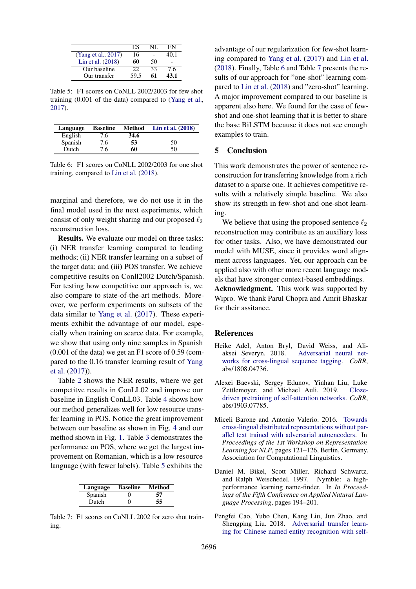<span id="page-4-5"></span>

|                     | FS   |    | FN   |
|---------------------|------|----|------|
| (Yang et al., 2017) | 16   |    | 40.1 |
| Lin et al. (2018)   | 60   | 50 |      |
| Our baseline        | 22   | 33 | 7.6  |
| Our transfer        | 59.5 | 61 | 43.1 |

Table 5: F1 scores on CoNLL 2002/2003 for few shot training (0.001 of the data) compared to [\(Yang et al.,](#page-6-5) [2017\)](#page-6-5).

<span id="page-4-6"></span>

| Language | <b>Baseline</b> | <b>Method</b> | Lin et al. $(2018)$ |
|----------|-----------------|---------------|---------------------|
| English  | 7.6             | 34.6          |                     |
| Spanish  | 7.6             | 53            | 50                  |
| Dutch    | 7.6             | 60            | 50                  |

Table 6: F1 scores on CoNLL 2002/2003 for one shot training, compared to [Lin et al.](#page-5-12) [\(2018\)](#page-5-12).

marginal and therefore, we do not use it in the final model used in the next experiments, which consist of only weight sharing and our proposed  $\ell_2$ reconstruction loss.

Results. We evaluate our model on three tasks: (i) NER transfer learning compared to leading methods; (ii) NER transfer learning on a subset of the target data; and (iii) POS transfer. We achieve competitive results on Conll2002 Dutch/Spanish. For testing how competitive our approach is, we also compare to state-of-the-art methods. Moreover, we perform experiments on subsets of the data similar to [Yang et al.](#page-6-5) [\(2017\)](#page-6-5). These experiments exhibit the advantage of our model, especially when training on scarce data. For example, we show that using only nine samples in Spanish (0.001 of the data) we get an F1 score of 0.59 (compared to the 0.16 transfer learning result of [Yang](#page-6-5) [et al.](#page-6-5) [\(2017\)](#page-6-5)).

Table [2](#page-2-2) shows the NER results, where we get competitve results in ConLL02 and improve our baseline in English ConLL03. Table [4](#page-3-1) shows how our method generalizes well for low resource transfer learning in POS. Notice the great improvement between our baseline as shown in Fig. [4](#page-3-0) and our method shown in Fig. [1.](#page-1-0) Table [3](#page-3-2) demonstrates the performance on POS, where we get the largest improvement on Romanian, which is a low resource language (with fewer labels). Table [5](#page-4-5) exhibits the

<span id="page-4-7"></span>

| Language | <b>Baseline</b> | Method |
|----------|-----------------|--------|
| Spanish  |                 | 57     |
| Dutch    | 0               | 55     |

Table 7: F1 scores on CoNLL 2002 for zero shot training.

advantage of our regularization for few-shot learning compared to [Yang et al.](#page-6-5) [\(2017\)](#page-6-5) and [Lin et al.](#page-5-12) [\(2018\)](#page-5-12). Finally, Table [6](#page-4-6) and Table [7](#page-4-7) presents the results of our approach for "one-shot" learning compared to [Lin et al.](#page-5-12) [\(2018\)](#page-5-12) and "zero-shot" learning. A major improvement compared to our baseline is apparent also here. We found for the case of fewshot and one-shot learning that it is better to share the base BiLSTM because it does not see enough examples to train.

#### 5 Conclusion

This work demonstrates the power of sentence reconstruction for transferring knowledge from a rich dataset to a sparse one. It achieves competitive results with a relatively simple baseline. We also show its strength in few-shot and one-shot learning.

We believe that using the proposed sentence  $\ell_2$ reconstruction may contribute as an auxiliary loss for other tasks. Also, we have demonstrated our model with MUSE, since it provides word alignment across languages. Yet, our approach can be applied also with other more recent language models that have stronger context-based embeddings.

Acknowledgment. This work was supported by Wipro. We thank Parul Chopra and Amrit Bhaskar for their assitance.

#### References

- <span id="page-4-3"></span>Heike Adel, Anton Bryl, David Weiss, and Aliaksei Severyn. 2018. [Adversarial neural net](http://arxiv.org/abs/1808.04736)[works for cross-lingual sequence tagging.](http://arxiv.org/abs/1808.04736) *CoRR*, abs/1808.04736.
- <span id="page-4-4"></span>Alexei Baevski, Sergey Edunov, Yinhan Liu, Luke Zettlemoyer, and Michael Auli. 2019. [Cloze](http://arxiv.org/abs/1903.07785)[driven pretraining of self-attention networks.](http://arxiv.org/abs/1903.07785) *CoRR*, abs/1903.07785.
- <span id="page-4-2"></span>Miceli Barone and Antonio Valerio. 2016. [Towards](https://doi.org/10.18653/v1/W16-1614) [cross-lingual distributed representations without par](https://doi.org/10.18653/v1/W16-1614)[allel text trained with adversarial autoencoders.](https://doi.org/10.18653/v1/W16-1614) In *Proceedings of the 1st Workshop on Representation Learning for NLP*, pages 121–126, Berlin, Germany. Association for Computational Linguistics.
- <span id="page-4-0"></span>Daniel M. Bikel, Scott Miller, Richard Schwartz, and Ralph Weischedel. 1997. Nymble: a highperformance learning name-finder. In *In Proceedings of the Fifth Conference on Applied Natural Language Processing*, pages 194–201.
- <span id="page-4-1"></span>Pengfei Cao, Yubo Chen, Kang Liu, Jun Zhao, and Shengping Liu. 2018. [Adversarial transfer learn](https://www.aclweb.org/anthology/D18-1017)[ing for Chinese named entity recognition with self-](https://www.aclweb.org/anthology/D18-1017)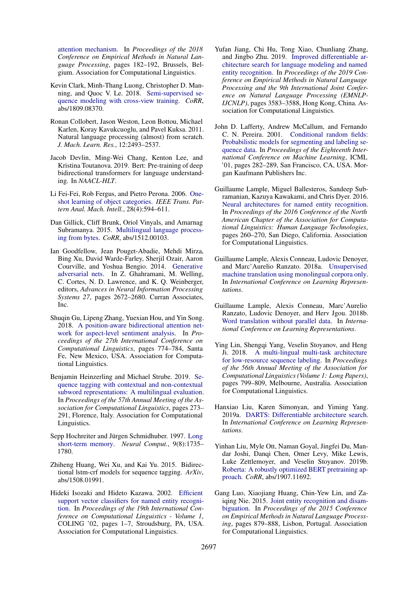[attention mechanism.](https://www.aclweb.org/anthology/D18-1017) In *Proceedings of the 2018 Conference on Empirical Methods in Natural Language Processing*, pages 182–192, Brussels, Belgium. Association for Computational Linguistics.

- <span id="page-5-13"></span>Kevin Clark, Minh-Thang Luong, Christopher D. Manning, and Quoc V. Le. 2018. [Semi-supervised se](http://arxiv.org/abs/1809.08370)[quence modeling with cross-view training.](http://arxiv.org/abs/1809.08370) *CoRR*, abs/1809.08370.
- <span id="page-5-7"></span>Ronan Collobert, Jason Weston, Leon Bottou, Michael Karlen, Koray Kavukcuoglu, and Pavel Kuksa. 2011. Natural language processing (almost) from scratch. *J. Mach. Learn. Res.*, 12:2493–2537.
- <span id="page-5-2"></span>Jacob Devlin, Ming-Wei Chang, Kenton Lee, and Kristina Toutanova. 2019. Bert: Pre-training of deep bidirectional transformers for language understanding. In *NAACL-HLT*.
- <span id="page-5-4"></span>Li Fei-Fei, Rob Fergus, and Pietro Perona. 2006. [One](https://doi.org/10.1109/TPAMI.2006.79)[shot learning of object categories.](https://doi.org/10.1109/TPAMI.2006.79) *IEEE Trans. Pattern Anal. Mach. Intell.*, 28(4):594–611.
- <span id="page-5-16"></span>Dan Gillick, Cliff Brunk, Oriol Vinyals, and Amarnag Subramanya. 2015. [Multilingual language process](http://arxiv.org/abs/1512.00103)[ing from bytes.](http://arxiv.org/abs/1512.00103) *CoRR*, abs/1512.00103.
- <span id="page-5-14"></span>Ian Goodfellow, Jean Pouget-Abadie, Mehdi Mirza, Bing Xu, David Warde-Farley, Sherjil Ozair, Aaron Courville, and Yoshua Bengio. 2014. [Generative](http://papers.nips.cc/paper/5423-generative-adversarial-nets.pdf) [adversarial nets.](http://papers.nips.cc/paper/5423-generative-adversarial-nets.pdf) In Z. Ghahramani, M. Welling, C. Cortes, N. D. Lawrence, and K. Q. Weinberger, editors, *Advances in Neural Information Processing Systems 27*, pages 2672–2680. Curran Associates, Inc.
- <span id="page-5-1"></span>Shuqin Gu, Lipeng Zhang, Yuexian Hou, and Yin Song. 2018. [A position-aware bidirectional attention net](https://www.aclweb.org/anthology/C18-1066)[work for aspect-level sentiment analysis.](https://www.aclweb.org/anthology/C18-1066) In *Proceedings of the 27th International Conference on Computational Linguistics*, pages 774–784, Santa Fe, New Mexico, USA. Association for Computational Linguistics.
- <span id="page-5-18"></span>Benjamin Heinzerling and Michael Strube. 2019. [Se](https://doi.org/10.18653/v1/P19-1027)[quence tagging with contextual and non-contextual](https://doi.org/10.18653/v1/P19-1027) [subword representations: A multilingual evaluation.](https://doi.org/10.18653/v1/P19-1027) In *Proceedings of the 57th Annual Meeting of the Association for Computational Linguistics*, pages 273– 291, Florence, Italy. Association for Computational Linguistics.
- <span id="page-5-15"></span>Sepp Hochreiter and Jürgen Schmidhuber. 1997. [Long](https://doi.org/10.1162/neco.1997.9.8.1735) [short-term memory.](https://doi.org/10.1162/neco.1997.9.8.1735) *Neural Comput.*, 9(8):1735– 1780.
- <span id="page-5-8"></span>Zhiheng Huang, Wei Xu, and Kai Yu. 2015. Bidirectional lstm-crf models for sequence tagging. *ArXiv*, abs/1508.01991.
- <span id="page-5-5"></span>Hideki Isozaki and Hideto Kazawa. 2002. [Efficient](https://doi.org/10.3115/1072228.1072282) [support vector classifiers for named entity recogni](https://doi.org/10.3115/1072228.1072282)[tion.](https://doi.org/10.3115/1072228.1072282) In *Proceedings of the 19th International Conference on Computational Linguistics - Volume 1*, COLING '02, pages 1–7, Stroudsburg, PA, USA. Association for Computational Linguistics.
- <span id="page-5-10"></span>Yufan Jiang, Chi Hu, Tong Xiao, Chunliang Zhang, and Jingbo Zhu. 2019. [Improved differentiable ar](https://doi.org/10.18653/v1/D19-1367)[chitecture search for language modeling and named](https://doi.org/10.18653/v1/D19-1367) [entity recognition.](https://doi.org/10.18653/v1/D19-1367) In *Proceedings of the 2019 Conference on Empirical Methods in Natural Language Processing and the 9th International Joint Conference on Natural Language Processing (EMNLP-IJCNLP)*, pages 3583–3588, Hong Kong, China. Association for Computational Linguistics.
- <span id="page-5-6"></span>John D. Lafferty, Andrew McCallum, and Fernando C. N. Pereira. 2001. [Conditional random fields:](http://dl.acm.org/citation.cfm?id=645530.655813) [Probabilistic models for segmenting and labeling se](http://dl.acm.org/citation.cfm?id=645530.655813)[quence data.](http://dl.acm.org/citation.cfm?id=645530.655813) In *Proceedings of the Eighteenth International Conference on Machine Learning*, ICML '01, pages 282–289, San Francisco, CA, USA. Morgan Kaufmann Publishers Inc.
- <span id="page-5-9"></span>Guillaume Lample, Miguel Ballesteros, Sandeep Subramanian, Kazuya Kawakami, and Chris Dyer. 2016. [Neural architectures for named entity recognition.](https://doi.org/10.18653/v1/N16-1030) In *Proceedings of the 2016 Conference of the North American Chapter of the Association for Computational Linguistics: Human Language Technologies*, pages 260–270, San Diego, California. Association for Computational Linguistics.
- <span id="page-5-0"></span>Guillaume Lample, Alexis Conneau, Ludovic Denoyer, and Marc'Aurelio Ranzato. 2018a. [Unsupervised](https://openreview.net/forum?id=rkYTTf-AZ) [machine translation using monolingual corpora only.](https://openreview.net/forum?id=rkYTTf-AZ) In *International Conference on Learning Representations*.
- <span id="page-5-19"></span>Guillaume Lample, Alexis Conneau, Marc'Aurelio Ranzato, Ludovic Denoyer, and Herv Jgou. 2018b. [Word translation without parallel data.](https://openreview.net/forum?id=H196sainb) In *International Conference on Learning Representations*.
- <span id="page-5-12"></span>Ying Lin, Shengqi Yang, Veselin Stoyanov, and Heng Ji. 2018. [A multi-lingual multi-task architecture](https://doi.org/10.18653/v1/P18-1074) [for low-resource sequence labeling.](https://doi.org/10.18653/v1/P18-1074) In *Proceedings of the 56th Annual Meeting of the Association for Computational Linguistics (Volume 1: Long Papers)*, pages 799–809, Melbourne, Australia. Association for Computational Linguistics.
- <span id="page-5-11"></span>Hanxiao Liu, Karen Simonyan, and Yiming Yang. 2019a. [DARTS: Differentiable architecture search.](https://openreview.net/forum?id=S1eYHoC5FX) In *International Conference on Learning Representations*.
- <span id="page-5-3"></span>Yinhan Liu, Myle Ott, Naman Goyal, Jingfei Du, Mandar Joshi, Danqi Chen, Omer Levy, Mike Lewis, Luke Zettlemoyer, and Veselin Stoyanov. 2019b. [Roberta: A robustly optimized BERT pretraining ap](http://arxiv.org/abs/1907.11692)[proach.](http://arxiv.org/abs/1907.11692) *CoRR*, abs/1907.11692.
- <span id="page-5-17"></span>Gang Luo, Xiaojiang Huang, Chin-Yew Lin, and Zaiqing Nie. 2015. [Joint entity recognition and disam](https://doi.org/10.18653/v1/D15-1104)[biguation.](https://doi.org/10.18653/v1/D15-1104) In *Proceedings of the 2015 Conference on Empirical Methods in Natural Language Processing*, pages 879–888, Lisbon, Portugal. Association for Computational Linguistics.